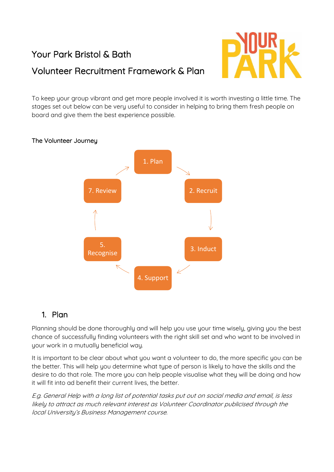# Your Park Bristol & Bath Volunteer Recruitment Framework & Plan

To keep your group vibrant and get more people involved it is worth investing a little time. The stages set out below can be very useful to consider in helping to bring them fresh people on board and give them the best experience possible.



#### The Volunteer Journey

### 1. Plan

Planning should be done thoroughly and will help you use your time wisely, giving you the best chance of successfully finding volunteers with the right skill set and who want to be involved in your work in a mutually beneficial way.

It is important to be clear about what you want a volunteer to do, the more specific you can be the better. This will help you determine what type of person is likely to have the skills and the desire to do that role. The more you can help people visualise what they will be doing and how it will fit into ad benefit their current lives, the better.

E.g. General Help with a long list of potential tasks put out on social media and email, is less likely to attract as much relevant interest as Volunteer Coordinator publicised through the local University's Business Management course.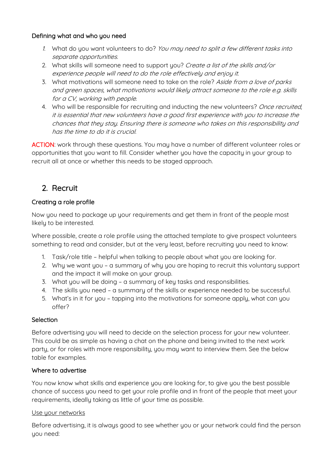#### Defining what and who you need

- 1. What do you want volunteers to do? You may need to split a few different tasks into separate opportunities.
- 2. What skills will someone need to support you? Create a list of the skills and/or experience people will need to do the role effectively and enjoy it.
- 3. What motivations will someone need to take on the role? Aside from a love of parks and green spaces, what motivations would likely attract someone to the role e.g. skills for a CV, working with people.
- 4. Who will be responsible for recruiting and inducting the new volunteers? Once recruited, it is essential that new volunteers have a good first experience with you to increase the chances that they stay. Ensuring there is someone who takes on this responsibility and has the time to do it is crucial.

ACTION: work through these questions. You may have a number of different volunteer roles or opportunities that you want to fill. Consider whether you have the capacity in your group to recruit all at once or whether this needs to be staged approach.

# 2. Recruit

#### Creating a role profile

Now you need to package up your requirements and get them in front of the people most likely to be interested.

Where possible, create a role profile using the attached template to give prospect volunteers something to read and consider, but at the very least, before recruiting you need to know:

- 1. Task/role title helpful when talking to people about what you are looking for.
- 2. Why we want you a summary of why you are hoping to recruit this voluntary support and the impact it will make on your group.
- 3. What you will be doing a summary of key tasks and responsibilities.
- 4. The skills you need a summary of the skills or experience needed to be successful.
- 5. What's in it for you tapping into the motivations for someone apply, what can you offer?

#### **Selection**

Before advertising you will need to decide on the selection process for your new volunteer. This could be as simple as having a chat on the phone and being invited to the next work party, or for roles with more responsibility, you may want to interview them. See the below table for examples.

#### Where to advertise

You now know what skills and experience you are looking for, to give you the best possible chance of success you need to get your role profile and in front of the people that meet your requirements, ideally taking as little of your time as possible.

#### Use your networks

Before advertising, it is always good to see whether you or your network could find the person you need: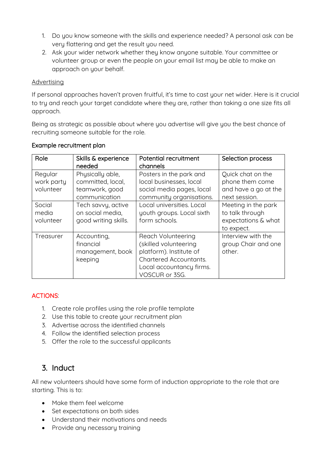- 1. Do you know someone with the skills and experience needed? A personal ask can be very flattering and get the result you need.
- 2. Ask your wider network whether they know anyone suitable. Your committee or volunteer group or even the people on your email list may be able to make an approach on your behalf.

#### Advertising

If personal approaches haven't proven fruitful, it's time to cast your net wider. Here is it crucial to try and reach your target candidate where they are, rather than taking a one size fits all approach.

Being as strategic as possible about where you advertise will give you the best chance of recruiting someone suitable for the role.

| Role                               | Skills & experience<br>needed                                            | Potential recruitment<br>channels                                                                                                              | Selection process                                                             |
|------------------------------------|--------------------------------------------------------------------------|------------------------------------------------------------------------------------------------------------------------------------------------|-------------------------------------------------------------------------------|
| Regular<br>work party<br>volunteer | Physically able,<br>committed, local,<br>teamwork, good<br>communication | Posters in the park and<br>local businesses, local<br>social media pages, local<br>community organisations.                                    | Quick chat on the<br>phone them come<br>and have a go at the<br>next session. |
| Social<br>media<br>volunteer       | Tech savvy, active<br>on social media,<br>good writing skills.           | Local universities. Local<br>youth groups. Local sixth<br>form schools.                                                                        | Meeting in the park<br>to talk through<br>expectations & what<br>to expect.   |
| Treasurer                          | Accounting,<br>financial<br>management, book<br>keeping                  | Reach Volunteering<br>(skilled volunteering<br>platform). Institute of<br>Chartered Accountants.<br>Local accountancy firms.<br>VOSCUR or 3SG. | Interview with the<br>group Chair and one<br>other.                           |

#### Example recruitment plan

#### ACTIONS:

- 1. Create role profiles using the role profile template
- 2. Use this table to create your recruitment plan
- 3. Advertise across the identified channels
- 4. Follow the identified selection process
- 5. Offer the role to the successful applicants

### 3. Induct

All new volunteers should have some form of induction appropriate to the role that are starting. This is to:

- Make them feel welcome
- Set expectations on both sides
- Understand their motivations and needs
- Provide any necessary training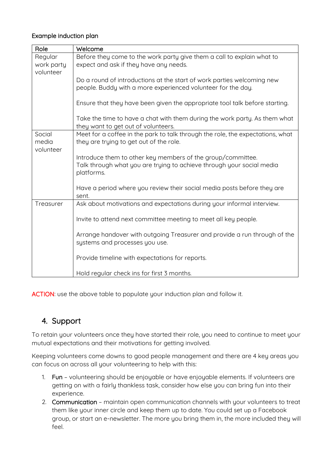#### Example induction plan

| Role                    | Welcome                                                                             |  |  |
|-------------------------|-------------------------------------------------------------------------------------|--|--|
| Regular                 | Before they come to the work party give them a call to explain what to              |  |  |
| work party<br>volunteer | expect and ask if they have any needs.                                              |  |  |
|                         | Do a round of introductions at the start of work parties welcoming new              |  |  |
|                         | people. Buddy with a more experienced volunteer for the day.                        |  |  |
|                         | Ensure that they have been given the appropriate tool talk before starting.         |  |  |
|                         | Take the time to have a chat with them during the work party. As them what          |  |  |
|                         | they want to get out of volunteers.                                                 |  |  |
| Social                  | Meet for a coffee in the park to talk through the role, the expectations, what      |  |  |
| media                   | they are trying to get out of the role.                                             |  |  |
| volunteer               |                                                                                     |  |  |
|                         | Introduce them to other key members of the group/committee.                         |  |  |
|                         | Talk through what you are trying to achieve through your social media<br>platforms. |  |  |
|                         | Have a period where you review their social media posts before they are<br>sent.    |  |  |
| Treasurer               | Ask about motivations and expectations during your informal interview.              |  |  |
|                         | Invite to attend next committee meeting to meet all key people.                     |  |  |
|                         | Arrange handover with outgoing Treasurer and provide a run through of the           |  |  |
|                         | systems and processes you use.                                                      |  |  |
|                         | Provide timeline with expectations for reports.                                     |  |  |
|                         | Hold regular check ins for first 3 months.                                          |  |  |

ACTION: use the above table to populate your induction plan and follow it.

# 4. Support

To retain your volunteers once they have started their role, you need to continue to meet your mutual expectations and their motivations for getting involved.

Keeping volunteers come downs to good people management and there are 4 key areas you can focus on across all your volunteering to help with this:

- 1. Fun volunteering should be enjoyable or have enjoyable elements. If volunteers are getting on with a fairly thankless task, consider how else you can bring fun into their experience.
- 2. Communication maintain open communication channels with your volunteers to treat them like your inner circle and keep them up to date. You could set up a Facebook group, or start an e-newsletter. The more you bring them in, the more included they will feel.